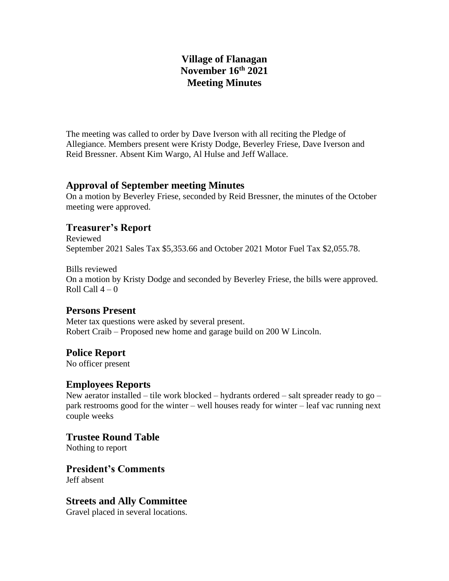## **Village of Flanagan November 16th 2021 Meeting Minutes**

The meeting was called to order by Dave Iverson with all reciting the Pledge of Allegiance. Members present were Kristy Dodge, Beverley Friese, Dave Iverson and Reid Bressner. Absent Kim Wargo, Al Hulse and Jeff Wallace.

### **Approval of September meeting Minutes**

On a motion by Beverley Friese, seconded by Reid Bressner, the minutes of the October meeting were approved.

### **Treasurer's Report**

Reviewed September 2021 Sales Tax \$5,353.66 and October 2021 Motor Fuel Tax \$2,055.78.

Bills reviewed On a motion by Kristy Dodge and seconded by Beverley Friese, the bills were approved. Roll Call  $4-0$ 

### **Persons Present**

Meter tax questions were asked by several present. Robert Craib – Proposed new home and garage build on 200 W Lincoln.

# **Police Report**

No officer present

### **Employees Reports**

New aerator installed – tile work blocked – hydrants ordered – salt spreader ready to go – park restrooms good for the winter – well houses ready for winter – leaf vac running next couple weeks

### **Trustee Round Table**

Nothing to report

**President's Comments** Jeff absent

### **Streets and Ally Committee**

Gravel placed in several locations.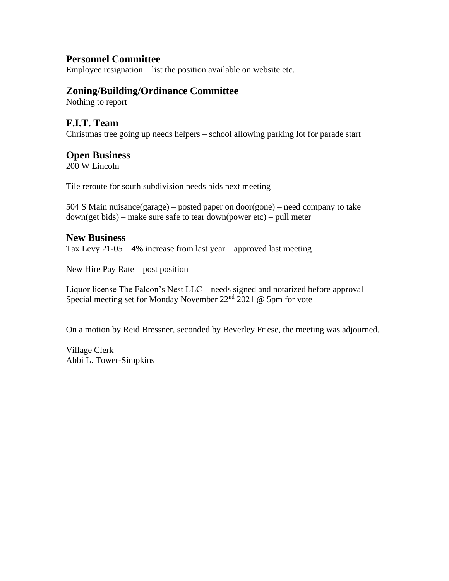### **Personnel Committee**

Employee resignation – list the position available on website etc.

#### **Zoning/Building/Ordinance Committee**

Nothing to report

#### **F.I.T. Team**

Christmas tree going up needs helpers – school allowing parking lot for parade start

#### **Open Business**

200 W Lincoln

Tile reroute for south subdivision needs bids next meeting

504 S Main nuisance(garage) – posted paper on door(gone) – need company to take down(get bids) – make sure safe to tear down(power etc) – pull meter

#### **New Business**

Tax Levy 21-05 – 4% increase from last year – approved last meeting

New Hire Pay Rate – post position

Liquor license The Falcon's Nest LLC – needs signed and notarized before approval – Special meeting set for Monday November 22nd 2021 @ 5pm for vote

On a motion by Reid Bressner, seconded by Beverley Friese, the meeting was adjourned.

Village Clerk Abbi L. Tower-Simpkins